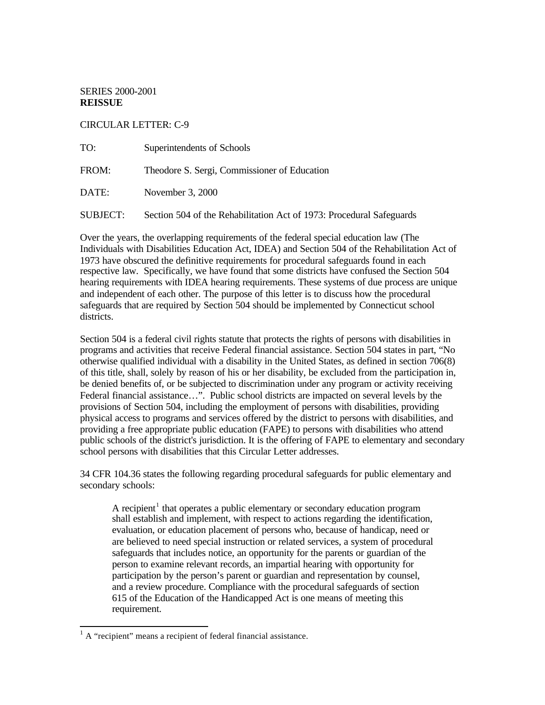SERIES 2000-2001 **REISSUE** 

CIRCULAR LETTER: C-9

| TO:             | Superintendents of Schools                                           |
|-----------------|----------------------------------------------------------------------|
| FROM:           | Theodore S. Sergi, Commissioner of Education                         |
| DATE: \         | November 3, 2000                                                     |
| <b>SUBJECT:</b> | Section 504 of the Rehabilitation Act of 1973: Procedural Safeguards |

Over the years, the overlapping requirements of the federal special education law (The Individuals with Disabilities Education Act, IDEA) and Section 504 of the Rehabilitation Act of 1973 have obscured the definitive requirements for procedural safeguards found in each respective law. Specifically, we have found that some districts have confused the Section 504 hearing requirements with IDEA hearing requirements. These systems of due process are unique and independent of each other. The purpose of this letter is to discuss how the procedural safeguards that are required by Section 504 should be implemented by Connecticut school districts.

Section 504 is a federal civil rights statute that protects the rights of persons with disabilities in programs and activities that receive Federal financial assistance. Section 504 states in part, "No otherwise qualified individual with a disability in the United States, as defined in section 706(8) of this title, shall, solely by reason of his or her disability, be excluded from the participation in, be denied benefits of, or be subjected to discrimination under any program or activity receiving Federal financial assistance…". Public school districts are impacted on several levels by the provisions of Section 504, including the employment of persons with disabilities, providing physical access to programs and services offered by the district to persons with disabilities, and providing a free appropriate public education (FAPE) to persons with disabilities who attend public schools of the district's jurisdiction. It is the offering of FAPE to elementary and secondary school persons with disabilities that this Circular Letter addresses.

34 CFR 104.36 states the following regarding procedural safeguards for public elementary and secondary schools:

A recipient<sup>1</sup> that operates a public elementary or secondary education program shall establish and implement, with respect to actions regarding the identification, evaluation, or education placement of persons who, because of handicap, need or are believed to need special instruction or related services, a system of procedural safeguards that includes notice, an opportunity for the parents or guardian of the person to examine relevant records, an impartial hearing with opportunity for participation by the person's parent or guardian and representation by counsel, and a review procedure. Compliance with the procedural safeguards of section 615 of the Education of the Handicapped Act is one means of meeting this requirement.

<sup>&</sup>lt;sup>1</sup> A "recipient" means a recipient of federal financial assistance.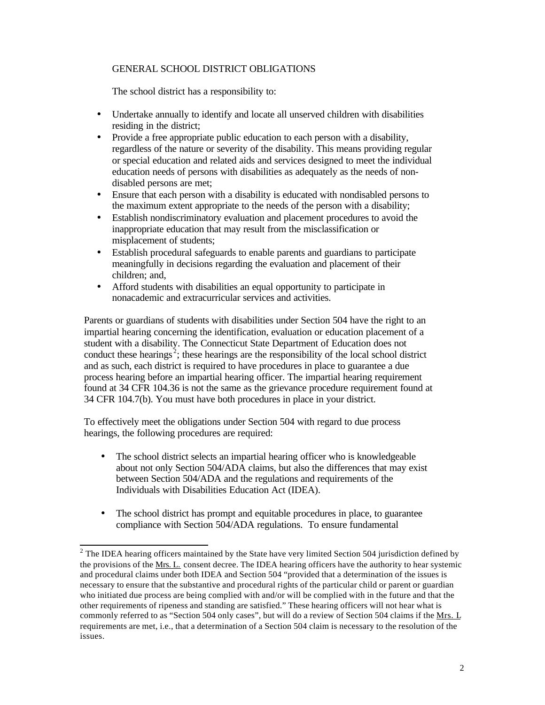## GENERAL SCHOOL DISTRICT OBLIGATIONS

The school district has a responsibility to:

- Undertake annually to identify and locate all unserved children with disabilities residing in the district;
- Provide a free appropriate public education to each person with a disability, regardless of the nature or severity of the disability. This means providing regular or special education and related aids and services designed to meet the individual education needs of persons with disabilities as adequately as the needs of nondisabled persons are met;
- Ensure that each person with a disability is educated with nondisabled persons to the maximum extent appropriate to the needs of the person with a disability;
- Establish nondiscriminatory evaluation and placement procedures to avoid the inappropriate education that may result from the misclassification or misplacement of students;
- Establish procedural safeguards to enable parents and guardians to participate meaningfully in decisions regarding the evaluation and placement of their children; and,
- Afford students with disabilities an equal opportunity to participate in nonacademic and extracurricular services and activities.

Parents or guardians of students with disabilities under Section 504 have the right to an impartial hearing concerning the identification, evaluation or education placement of a student with a disability. The Connecticut State Department of Education does not conduct these hearings<sup>2</sup>; these hearings are the responsibility of the local school district and as such, each district is required to have procedures in place to guarantee a due process hearing before an impartial hearing officer. The impartial hearing requirement found at 34 CFR 104.36 is not the same as the grievance procedure requirement found at 34 CFR 104.7(b). You must have both procedures in place in your district.

To effectively meet the obligations under Section 504 with regard to due process hearings, the following procedures are required:

- The school district selects an impartial hearing officer who is knowledgeable about not only Section 504/ADA claims, but also the differences that may exist between Section 504/ADA and the regulations and requirements of the Individuals with Disabilities Education Act (IDEA).
- The school district has prompt and equitable procedures in place, to guarantee compliance with Section 504/ADA regulations. To ensure fundamental

 $2$  The IDEA hearing officers maintained by the State have very limited Section 504 jurisdiction defined by the provisions of the Mrs. L. consent decree. The IDEA hearing officers have the authority to hear systemic and procedural claims under both IDEA and Section 504 "provided that a determination of the issues is necessary to ensure that the substantive and procedural rights of the particular child or parent or guardian who initiated due process are being complied with and/or will be complied with in the future and that the other requirements of ripeness and standing are satisfied." These hearing officers will not hear what is commonly referred to as "Section 504 only cases", but will do a review of Section 504 claims if the Mrs. L requirements are met, i.e., that a determination of a Section 504 claim is necessary to the resolution of the issues.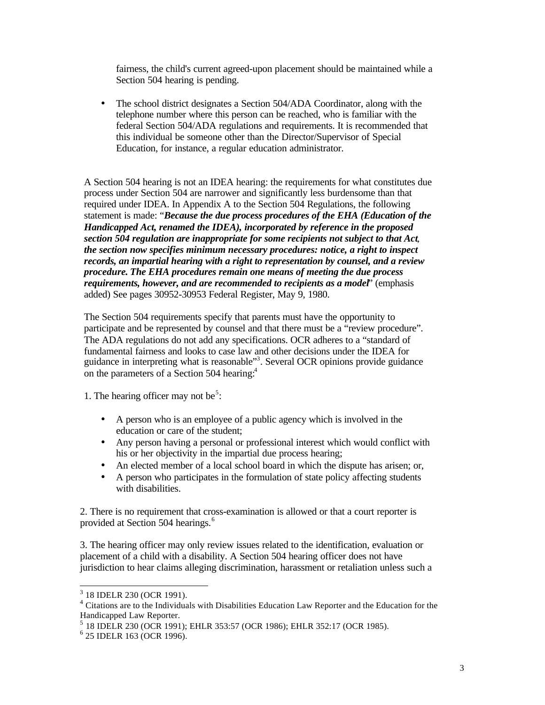fairness, the child's current agreed-upon placement should be maintained while a Section 504 hearing is pending.

The school district designates a Section 504/ADA Coordinator, along with the telephone number where this person can be reached, who is familiar with the federal Section 504/ADA regulations and requirements. It is recommended that this individual be someone other than the Director/Supervisor of Special Education, for instance, a regular education administrator.

A Section 504 hearing is not an IDEA hearing: the requirements for what constitutes due process under Section 504 are narrower and significantly less burdensome than that required under IDEA. In Appendix A to the Section 504 Regulations, the following statement is made: "*Because the due process procedures of the EHA (Education of the Handicapped Act, renamed the IDEA), incorporated by reference in the proposed section 504 regulation are inappropriate for some recipients not subject to that Act*, *the section now specifies minimum necessary procedures: notice, a right to inspect records, an impartial hearing with a right to representation by counsel, and a review procedure. The EHA procedures remain one means of meeting the due process requirements, however, and are recommended to recipients as a model*" (emphasis added) See pages 30952-30953 Federal Register, May 9, 1980.

The Section 504 requirements specify that parents must have the opportunity to participate and be represented by counsel and that there must be a "review procedure". The ADA regulations do not add any specifications. OCR adheres to a "standard of fundamental fairness and looks to case law and other decisions under the IDEA for guidance in interpreting what is reasonable"<sup>3</sup>. Several OCR opinions provide guidance on the parameters of a Section 504 hearing:<sup>4</sup>

1. The hearing officer may not be<sup>5</sup>:

- A person who is an employee of a public agency which is involved in the education or care of the student;
- Any person having a personal or professional interest which would conflict with his or her objectivity in the impartial due process hearing;
- An elected member of a local school board in which the dispute has arisen; or,
- A person who participates in the formulation of state policy affecting students with disabilities.

2. There is no requirement that cross-examination is allowed or that a court reporter is provided at Section 504 hearings.<sup>6</sup>

3. The hearing officer may only review issues related to the identification, evaluation or placement of a child with a disability. A Section 504 hearing officer does not have jurisdiction to hear claims alleging discrimination, harassment or retaliation unless such a

<sup>3 18</sup> IDELR 230 (OCR 1991).

<sup>&</sup>lt;sup>4</sup> Citations are to the Individuals with Disabilities Education Law Reporter and the Education for the Handicapped Law Reporter.

<sup>5</sup> 18 IDELR 230 (OCR 1991); EHLR 353:57 (OCR 1986); EHLR 352:17 (OCR 1985).

 $6$  25 IDELR 163 (OCR 1996).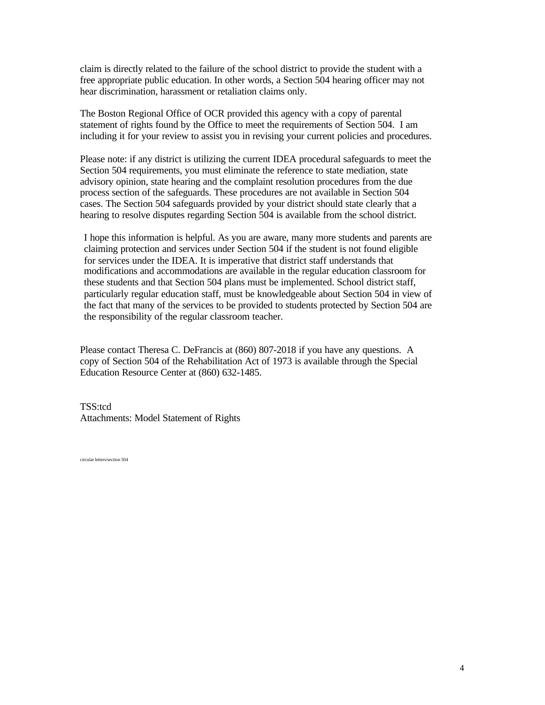claim is directly related to the failure of the school district to provide the student with a free appropriate public education. In other words, a Section 504 hearing officer may not hear discrimination, harassment or retaliation claims only.

The Boston Regional Office of OCR provided this agency with a copy of parental statement of rights found by the Office to meet the requirements of Section 504. I am including it for your review to assist you in revising your current policies and procedures.

Please note: if any district is utilizing the current IDEA procedural safeguards to meet the Section 504 requirements, you must eliminate the reference to state mediation, state advisory opinion, state hearing and the complaint resolution procedures from the due process section of the safeguards. These procedures are not available in Section 504 cases. The Section 504 safeguards provided by your district should state clearly that a hearing to resolve disputes regarding Section 504 is available from the school district.

I hope this information is helpful. As you are aware, many more students and parents are claiming protection and services under Section 504 if the student is not found eligible for services under the IDEA. It is imperative that district staff understands that modifications and accommodations are available in the regular education classroom for these students and that Section 504 plans must be implemented. School district staff, particularly regular education staff, must be knowledgeable about Section 504 in view of the fact that many of the services to be provided to students protected by Section 504 are the responsibility of the regular classroom teacher.

Please contact Theresa C. DeFrancis at (860) 807-2018 if you have any questions. A copy of Section 504 of the Rehabilitation Act of 1973 is available through the Special Education Resource Center at (860) 632-1485.

TSS:tcd Attachments: Model Statement of Rights

circular letters/section 504